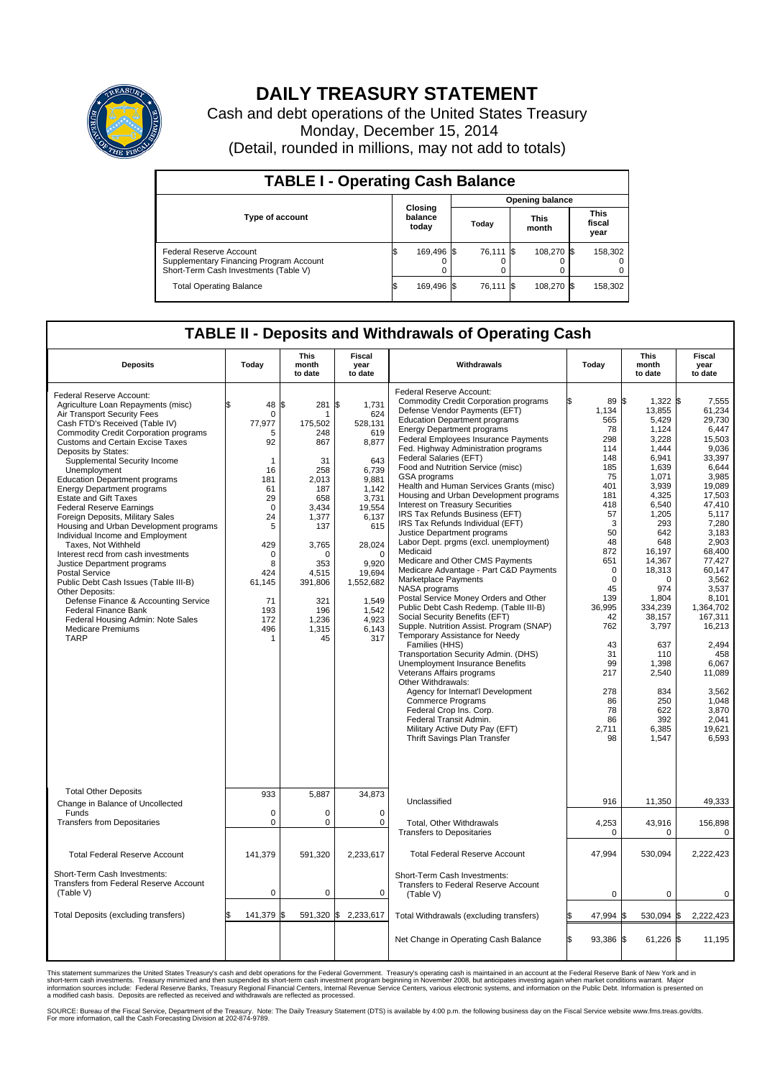

## **DAILY TREASURY STATEMENT**

Cash and debt operations of the United States Treasury Monday, December 15, 2014 (Detail, rounded in millions, may not add to totals)

| <b>TABLE I - Operating Cash Balance</b>                                                                     |     |                             |       |           |                      |            |  |                               |  |
|-------------------------------------------------------------------------------------------------------------|-----|-----------------------------|-------|-----------|----------------------|------------|--|-------------------------------|--|
|                                                                                                             |     | <b>Opening balance</b>      |       |           |                      |            |  |                               |  |
| Type of account                                                                                             |     | Closing<br>balance<br>today | Today |           | <b>This</b><br>month |            |  | <b>This</b><br>fiscal<br>year |  |
| Federal Reserve Account<br>Supplementary Financing Program Account<br>Short-Term Cash Investments (Table V) |     | 169,496 \$                  |       | 76.111 \$ |                      | 108.270 \$ |  | 158,302                       |  |
| <b>Total Operating Balance</b>                                                                              | 12. | 169,496 \$                  |       | 76,111 \$ |                      | 108,270 \$ |  | 158,302                       |  |

## **TABLE II - Deposits and Withdrawals of Operating Cash**

| <b>Deposits</b>                                                                                                                                                                                                                                                                                                                                                                                                                                                                                                                                                                                                                                                                                                                                                                                                                                                                                       | Today                                                                                                                                                                                       | <b>This</b><br>month<br>to date                                                                                                                                                 | Fiscal<br>year<br>to date                                                                                                                                                                                                   | Withdrawals                                                                                                                                                                                                                                                                                                                                                                                                                                                                                                                                                                                                                                                                                                                                                                                                                                                                                                                                                                                                                                                                                                                                                                                                                                                                                                      | Today                                                                                                                                                                                                                                                           | <b>This</b><br>month<br>to date                                                                                                                                                                                                                                                                                    | <b>Fiscal</b><br>year<br>to date                                                                                                                                                                                                                                                                                                         |  |
|-------------------------------------------------------------------------------------------------------------------------------------------------------------------------------------------------------------------------------------------------------------------------------------------------------------------------------------------------------------------------------------------------------------------------------------------------------------------------------------------------------------------------------------------------------------------------------------------------------------------------------------------------------------------------------------------------------------------------------------------------------------------------------------------------------------------------------------------------------------------------------------------------------|---------------------------------------------------------------------------------------------------------------------------------------------------------------------------------------------|---------------------------------------------------------------------------------------------------------------------------------------------------------------------------------|-----------------------------------------------------------------------------------------------------------------------------------------------------------------------------------------------------------------------------|------------------------------------------------------------------------------------------------------------------------------------------------------------------------------------------------------------------------------------------------------------------------------------------------------------------------------------------------------------------------------------------------------------------------------------------------------------------------------------------------------------------------------------------------------------------------------------------------------------------------------------------------------------------------------------------------------------------------------------------------------------------------------------------------------------------------------------------------------------------------------------------------------------------------------------------------------------------------------------------------------------------------------------------------------------------------------------------------------------------------------------------------------------------------------------------------------------------------------------------------------------------------------------------------------------------|-----------------------------------------------------------------------------------------------------------------------------------------------------------------------------------------------------------------------------------------------------------------|--------------------------------------------------------------------------------------------------------------------------------------------------------------------------------------------------------------------------------------------------------------------------------------------------------------------|------------------------------------------------------------------------------------------------------------------------------------------------------------------------------------------------------------------------------------------------------------------------------------------------------------------------------------------|--|
| Federal Reserve Account:<br>Agriculture Loan Repayments (misc)<br>Air Transport Security Fees<br>Cash FTD's Received (Table IV)<br><b>Commodity Credit Corporation programs</b><br><b>Customs and Certain Excise Taxes</b><br>Deposits by States:<br>Supplemental Security Income<br>Unemployment<br><b>Education Department programs</b><br><b>Energy Department programs</b><br><b>Estate and Gift Taxes</b><br><b>Federal Reserve Earnings</b><br>Foreign Deposits, Military Sales<br>Housing and Urban Development programs<br>Individual Income and Employment<br>Taxes, Not Withheld<br>Interest recd from cash investments<br>Justice Department programs<br>Postal Service<br>Public Debt Cash Issues (Table III-B)<br>Other Deposits:<br>Defense Finance & Accounting Service<br><b>Federal Finance Bank</b><br>Federal Housing Admin: Note Sales<br><b>Medicare Premiums</b><br><b>TARP</b> | \$<br>48 S<br>$\Omega$<br>77,977<br>5<br>92<br>$\mathbf{1}$<br>16<br>181<br>61<br>29<br>$\mathbf 0$<br>24<br>5<br>429<br>$\mathbf 0$<br>8<br>424<br>61,145<br>71<br>193<br>172<br>496<br>-1 | 281<br>175,502<br>248<br>867<br>31<br>258<br>2,013<br>187<br>658<br>3,434<br>1,377<br>137<br>3,765<br>$\Omega$<br>353<br>4,515<br>391,806<br>321<br>196<br>1,236<br>1,315<br>45 | $\sqrt{3}$<br>1,731<br>624<br>528,131<br>619<br>8,877<br>643<br>6.739<br>9,881<br>1.142<br>3,731<br>19,554<br>6,137<br>615<br>28,024<br>$\Omega$<br>9,920<br>19,694<br>1,552,682<br>1,549<br>1.542<br>4,923<br>6,143<br>317 | Federal Reserve Account:<br><b>Commodity Credit Corporation programs</b><br>Defense Vendor Payments (EFT)<br><b>Education Department programs</b><br><b>Energy Department programs</b><br>Federal Employees Insurance Payments<br>Fed. Highway Administration programs<br>Federal Salaries (EFT)<br>Food and Nutrition Service (misc)<br><b>GSA</b> programs<br>Health and Human Services Grants (misc)<br>Housing and Urban Development programs<br>Interest on Treasury Securities<br>IRS Tax Refunds Business (EFT)<br>IRS Tax Refunds Individual (EFT)<br>Justice Department programs<br>Labor Dept. prgms (excl. unemployment)<br>Medicaid<br>Medicare and Other CMS Payments<br>Medicare Advantage - Part C&D Payments<br>Marketplace Payments<br>NASA programs<br>Postal Service Money Orders and Other<br>Public Debt Cash Redemp. (Table III-B)<br>Social Security Benefits (EFT)<br>Supple. Nutrition Assist. Program (SNAP)<br>Temporary Assistance for Needy<br>Families (HHS)<br>Transportation Security Admin. (DHS)<br>Unemployment Insurance Benefits<br>Veterans Affairs programs<br>Other Withdrawals:<br>Agency for Internat'l Development<br><b>Commerce Programs</b><br>Federal Crop Ins. Corp.<br>Federal Transit Admin.<br>Military Active Duty Pay (EFT)<br>Thrift Savings Plan Transfer | 89 \$<br>ጵ<br>1,134<br>565<br>78<br>298<br>114<br>148<br>185<br>75<br>401<br>181<br>418<br>57<br>3<br>50<br>48<br>872<br>651<br>$\mathbf 0$<br>$\mathbf 0$<br>45<br>139<br>36,995<br>42<br>762<br>43<br>31<br>99<br>217<br>278<br>86<br>78<br>86<br>2.711<br>98 | $1,322$ \$<br>13,855<br>5,429<br>1,124<br>3,228<br>1.444<br>6,941<br>1,639<br>1,071<br>3,939<br>4,325<br>6,540<br>1,205<br>293<br>642<br>648<br>16,197<br>14,367<br>18,313<br>$\Omega$<br>974<br>1,804<br>334,239<br>38,157<br>3,797<br>637<br>110<br>1,398<br>2,540<br>834<br>250<br>622<br>392<br>6,385<br>1,547 | 7,555<br>61,234<br>29,730<br>6,447<br>15,503<br>9,036<br>33,397<br>6,644<br>3.985<br>19,089<br>17,503<br>47,410<br>5,117<br>7,280<br>3.183<br>2,903<br>68.400<br>77,427<br>60,147<br>3,562<br>3,537<br>8,101<br>1,364,702<br>167,311<br>16,213<br>2.494<br>458<br>6,067<br>11,089<br>3,562<br>1.048<br>3,870<br>2.041<br>19.621<br>6,593 |  |
| <b>Total Other Deposits</b><br>Change in Balance of Uncollected                                                                                                                                                                                                                                                                                                                                                                                                                                                                                                                                                                                                                                                                                                                                                                                                                                       | 933                                                                                                                                                                                         | 5,887                                                                                                                                                                           | 34,873                                                                                                                                                                                                                      | Unclassified                                                                                                                                                                                                                                                                                                                                                                                                                                                                                                                                                                                                                                                                                                                                                                                                                                                                                                                                                                                                                                                                                                                                                                                                                                                                                                     | 916                                                                                                                                                                                                                                                             | 11,350                                                                                                                                                                                                                                                                                                             | 49,333                                                                                                                                                                                                                                                                                                                                   |  |
| Funds<br><b>Transfers from Depositaries</b>                                                                                                                                                                                                                                                                                                                                                                                                                                                                                                                                                                                                                                                                                                                                                                                                                                                           | $\mathbf 0$<br>$\pmb{0}$                                                                                                                                                                    | $\Omega$<br>$\pmb{0}$                                                                                                                                                           | $\Omega$<br>$\mathbf 0$                                                                                                                                                                                                     | Total, Other Withdrawals<br><b>Transfers to Depositaries</b>                                                                                                                                                                                                                                                                                                                                                                                                                                                                                                                                                                                                                                                                                                                                                                                                                                                                                                                                                                                                                                                                                                                                                                                                                                                     | 4,253<br>0                                                                                                                                                                                                                                                      | 43,916<br>$\mathbf 0$                                                                                                                                                                                                                                                                                              | 156,898<br>$\mathbf 0$                                                                                                                                                                                                                                                                                                                   |  |
| <b>Total Federal Reserve Account</b>                                                                                                                                                                                                                                                                                                                                                                                                                                                                                                                                                                                                                                                                                                                                                                                                                                                                  | 141,379                                                                                                                                                                                     | 591,320                                                                                                                                                                         | 2,233,617                                                                                                                                                                                                                   | <b>Total Federal Reserve Account</b>                                                                                                                                                                                                                                                                                                                                                                                                                                                                                                                                                                                                                                                                                                                                                                                                                                                                                                                                                                                                                                                                                                                                                                                                                                                                             | 47,994                                                                                                                                                                                                                                                          | 530,094                                                                                                                                                                                                                                                                                                            | 2,222,423                                                                                                                                                                                                                                                                                                                                |  |
| Short-Term Cash Investments:<br>Transfers from Federal Reserve Account<br>(Table V)                                                                                                                                                                                                                                                                                                                                                                                                                                                                                                                                                                                                                                                                                                                                                                                                                   | 0                                                                                                                                                                                           | 0                                                                                                                                                                               | 0                                                                                                                                                                                                                           | Short-Term Cash Investments:<br>Transfers to Federal Reserve Account<br>(Table V)                                                                                                                                                                                                                                                                                                                                                                                                                                                                                                                                                                                                                                                                                                                                                                                                                                                                                                                                                                                                                                                                                                                                                                                                                                | $\mathbf 0$                                                                                                                                                                                                                                                     | $\mathbf 0$                                                                                                                                                                                                                                                                                                        | 0                                                                                                                                                                                                                                                                                                                                        |  |
| Total Deposits (excluding transfers)                                                                                                                                                                                                                                                                                                                                                                                                                                                                                                                                                                                                                                                                                                                                                                                                                                                                  | 141,379 \$<br>\$                                                                                                                                                                            |                                                                                                                                                                                 | 591,320 \$ 2,233,617                                                                                                                                                                                                        | Total Withdrawals (excluding transfers)                                                                                                                                                                                                                                                                                                                                                                                                                                                                                                                                                                                                                                                                                                                                                                                                                                                                                                                                                                                                                                                                                                                                                                                                                                                                          | 47,994                                                                                                                                                                                                                                                          | 530,094<br>l\$                                                                                                                                                                                                                                                                                                     | 1\$<br>2,222,423                                                                                                                                                                                                                                                                                                                         |  |
|                                                                                                                                                                                                                                                                                                                                                                                                                                                                                                                                                                                                                                                                                                                                                                                                                                                                                                       |                                                                                                                                                                                             |                                                                                                                                                                                 |                                                                                                                                                                                                                             | Net Change in Operating Cash Balance                                                                                                                                                                                                                                                                                                                                                                                                                                                                                                                                                                                                                                                                                                                                                                                                                                                                                                                                                                                                                                                                                                                                                                                                                                                                             | ß.<br>93,386 \$                                                                                                                                                                                                                                                 | 61,226 \$                                                                                                                                                                                                                                                                                                          | 11,195                                                                                                                                                                                                                                                                                                                                   |  |

This statement summarizes the United States Treasury's cash and debt operations for the Federal Government. Treasury's operating cash is maintained in an account at the Federal Reserve Bank of New York and in<br>short-term ca

SOURCE: Bureau of the Fiscal Service, Department of the Treasury. Note: The Daily Treasury Statement (DTS) is available by 4:00 p.m. the following business day on the Fiscal Service website www.fms.treas.gov/dts.<br>For more